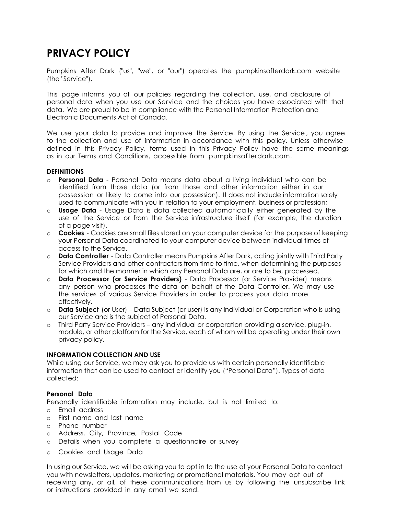# **PRIVACY POLICY**

Pumpkins After Dark ("us", "we", or "our") operates the pumpkinsafterdark.com website (the "Service").

This page informs you of our policies regarding the collection, use, and disclosure of personal data when you use our Service and the choices you have associated with that data. We are proud to be in compliance with the Personal Information Protection and Electronic Documents Act of Canada.

We use your data to provide and improve the Service. By using the Service , you agree to the collection and use of information in accordance with this policy. Unless otherwise defined in this Privacy Policy, terms used in this Privacy Policy have the same meanings as in our Terms and Conditions, accessible from pumpkinsafterdark.com.

#### **DEFINITIONS**

- o **Personal Data** Personal Data means data about a living individual who can be identified from those data (or from those and other information either in our possession or likely to come into our possession). It does not include information solely used to communicate with you in relation to your employment, business or profession;
- o **Usage Data** Usage Data is data collected automatically either generated by the use of the Service or from the Service infrastructure itself (for example, the duration of a page visit).
- o **Cookies** Cookies are small files stored on your computer device for the purpose of keeping your Personal Data coordinated to your computer device between individual times of access to the Service.
- o **Data Controller**  Data Controller means Pumpkins After Dark, acting jointly with Third Party Service Providers and other contractors from time to time, when determining the purposes for which and the manner in which any Personal Data are, or are to be, processed.
- o **Data Processor (or Service Providers)** Data Processor (or Service Provider) means any person who processes the data on behalf of the Data Controller. We may use the services of various Service Providers in order to process your data more effectively.
- o **Data Subject** (or User) Data Subject (or user) is any individual or Corporation who is using our Service and is the subject of Personal Data.
- o Third Party Service Providers any individual or corporation providing a service, plug-in, module, or other platform for the Service, each of whom will be operating under their own privacy policy.

#### **INFORMATION COLLECTION AND USE**

While using our Service, we may ask you to provide us with certain personally identifiable information that can be used to contact or identify you ("Personal Data"). Types of data collected:

# **Personal Data**

Personally identifiable information may include, but is not limited to:

- o Email address
- o First name and last name
- o Phone number
- o Address, City, Province, Postal Code
- o Details when you complete a questionnaire or survey
- o Cookies and Usage Data

In using our Service, we will be asking you to opt in to the use of your Personal Data to contact you with newsletters, updates, marketing or promotional materials. You may opt out of receiving any, or all, of these communications from us by following the unsubscribe link or instructions provided in any email we send.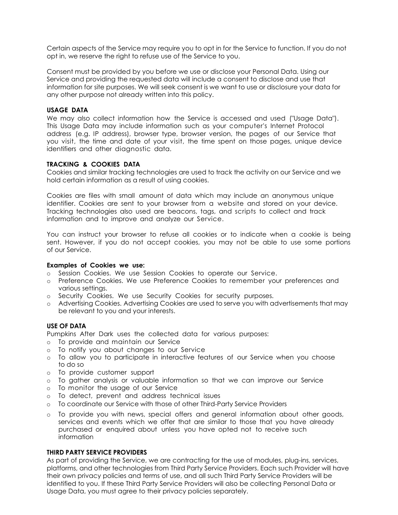Certain aspects of the Service may require you to opt in for the Service to function. If you do not opt in, we reserve the right to refuse use of the Service to you.

Consent must be provided by you before we use or disclose your Personal Data. Using our Service and providing the requested data will include a consent to disclose and use that information for site purposes. We will seek consent is we want to use or disclosure your data for any other purpose not already written into this policy.

#### **USAGE DATA**

We may also collect information how the Service is accessed and used ("Usage Data"). This Usage Data may include information such as your computer's Internet Protocol address (e.g. IP address), browser type, browser version, the pages of our Service that you visit, the time and date of your visit, the time spent on those pages, unique device identifiers and other diagnostic data.

## **TRACKING & COOKIES DATA**

Cookies and similar tracking technologies are used to track the activity on our Service and we hold certain information as a result of using cookies.

Cookies are files with small amount of data which may include an anonymous unique identifier. Cookies are sent to your browser from a website and stored on your device. Tracking technologies also used are beacons, tags, and scripts to collect and track information and to improve and analyze our Service.

You can instruct your browser to refuse all cookies or to indicate when a cookie is being sent. However, if you do not accept cookies, you may not be able to use some portions of our Service.

#### **Examples of Cookies we use:**

- o Session Cookies. We use Session Cookies to operate our Service.
- o Preference Cookies. We use Preference Cookies to remember your preferences and various settings.
- o Security Cookies. We use Security Cookies for security purposes.
- o Advertising Cookies. Advertising Cookies are used to serve you with advertisements that may be relevant to you and your interests.

#### **USE OF DATA**

Pumpkins After Dark uses the collected data for various purposes:

- o To provide and maintain our Service
- o To notify you about changes to our Service
- o To allow you to participate in interactive features of our Service when you choose to do so
- o To provide customer support
- o To gather analysis or valuable information so that we can improve our Service
- o To monitor the usage of our Service
- o To detect, prevent and address technical issues
- o To coordinate our Service with those of other Third-Party Service Providers
- o To provide you with news, special offers and general information about other goods, services and events which we offer that are similar to those that you have already purchased or enquired about unless you have opted not to receive such information

# **THIRD PARTY SERVICE PROVIDERS**

As part of providing the Service, we are contracting for the use of modules, plug-ins, services, platforms, and other technologies from Third Party Service Providers. Each such Provider will have their own privacy policies and terms of use, and all such Third Party Service Providers will be identified to you. If these Third Party Service Providers will also be collecting Personal Data or Usage Data, you must agree to their privacy policies separately.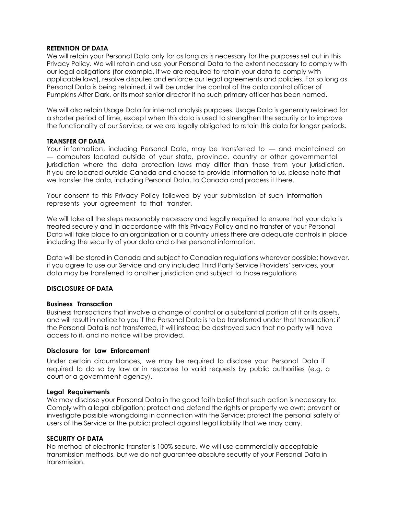## **RETENTION OF DATA**

We will retain your Personal Data only for as long as is necessary for the purposes set out in this Privacy Policy. We will retain and use your Personal Data to the extent necessary to comply with our legal obligations (for example, if we are required to retain your data to comply with applicable laws), resolve disputes and enforce our legal agreements and policies. For so long as Personal Data is being retained, it will be under the control of the data control officer of Pumpkins After Dark, or its most senior director if no such primary officer has been named.

We will also retain Usage Data for internal analysis purposes. Usage Data is generally retained for a shorter period of time, except when this data is used to strengthen the security or to improve the functionality of our Service, or we are legally obligated to retain this data for longer periods.

## **TRANSFER OF DATA**

Your information, including Personal Data, may be transferred to — and maintained on — computers located outside of your state, province, country or other governmental jurisdiction where the data protection laws may differ than those from your jurisdiction. If you are located outside Canada and choose to provide information to us, please note that we transfer the data, including Personal Data, to Canada and process it there.

Your consent to this Privacy Policy followed by your submission of such information represents your agreement to that transfer.

We will take all the steps reasonably necessary and legally required to ensure that your data is treated securely and in accordance with this Privacy Policy and no transfer of your Personal Data will take place to an organization or a country unless there are adequate controls in place including the security of your data and other personal information.

Data will be stored in Canada and subject to Canadian regulations wherever possible; however, if you agree to use our Service and any included Third Party Service Providers' services, your data may be transferred to another jurisdiction and subject to those regulations

#### **DISCLOSURE OF DATA**

#### **Business Transaction**

Business transactions that involve a change of control or a substantial portion of it or its assets, and will result in notice to you if the Personal Data is to be transferred under that transaction; if the Personal Data is not transferred, it will instead be destroyed such that no party will have access to it, and no notice will be provided.

## **Disclosure for Law Enforcement**

Under certain circumstances, we may be required to disclose your Personal Data if required to do so by law or in response to valid requests by public authorities (e.g. a court or a government agency).

#### **Legal Requirements**

We may disclose your Personal Data in the good faith belief that such action is necessary to: Comply with a legal obligation; protect and defend the rights or property we own; prevent or investigate possible wrongdoing in connection with the Service; protect the personal safety of users of the Service or the public; protect against legal liability that we may carry.

#### **SECURITY OF DATA**

No method of electronic transfer is 100% secure. We will use commercially acceptable transmission methods, but we do not guarantee absolute security of your Personal Data in transmission.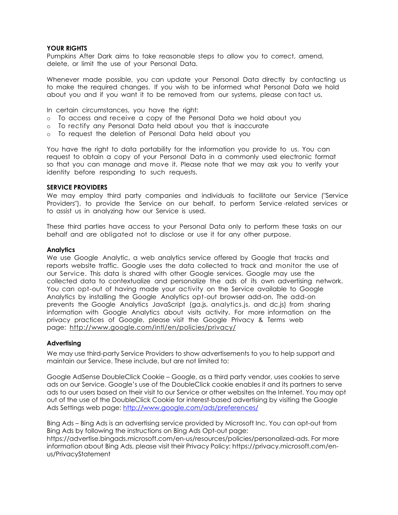#### **YOUR RIGHTS**

Pumpkins After Dark aims to take reasonable steps to allow you to correct, amend, delete, or limit the use of your Personal Data.

Whenever made possible, you can update your Personal Data directly by contacting us to make the required changes. If you wish to be informed what Personal Data we hold about you and if you want it to be removed from our systems, please con tact us.

In certain circumstances, you have the right:

- o To access and receive a copy of the Personal Data we hold about you
- o To rectify any Personal Data held about you that is inaccurate
- o To request the deletion of Personal Data held about you

You have the right to data portability for the information you provide to us. You can request to obtain a copy of your Personal Data in a commonly used electronic format so that you can manage and move it. Please note that we may ask you to verify your identity before responding to such requests.

#### **SERVICE PROVIDERS**

We may employ third party companies and individuals to facilitate our Service ("Service Providers"), to provide the Service on our behalf, to perform Service -related services or to assist us in analyzing how our Service is used.

These third parties have access to your Personal Data only to perform these tasks on our behalf and are obligated not to disclose or use it for any other purpose.

#### **Analytics**

We use Google Analytic, a web analytics service offered by Google that tracks and reports website traffic. Google uses the data collected to track and monitor the use of our Service. This data is shared with other Google services. Google may use the collected data to contextualize and personalize the ads of its own advertising network. You can opt-out of having made your activity on the Service available to Google Analytics by installing the Google Analytics opt-out browser add-on. The add-on prevents the Google Analytics JavaScript (ga.js, analytics.js, and dc.js) from sharing information with Google Analytics about visits activity. For more information on the privacy practices of Google, please visit the Google Privacy & Terms web page: <http://www.google.com/intl/en/policies/privacy/>

#### **Advertising**

We may use third-party Service Providers to show advertisements to you to help support and maintain our Service. These include, but are not limited to:

Google AdSense DoubleClick Cookie – Google, as a third party vendor, uses cookies to serve ads on our Service. Google's use of the DoubleClick cookie enables it and its partners to serve ads to our users based on their visit to our Service or other websites on the Internet. You may opt out of the use of the DoubleClick Cookie for interest-based advertising by visiting the Google Ads Settings web page:<http://www.google.com/ads/preferences/>

Bing Ads – Bing Ads is an advertising service provided by Microsoft Inc. You can opt-out from Bing Ads by following the instructions on Bing Ads Opt-out page:

https://advertise.bingads.microsoft.com/en-us/resources/policies/personalized-ads. For more information about Bing Ads, please visit their Privacy Policy: https://privacy.microsoft.com/enus/PrivacyStatement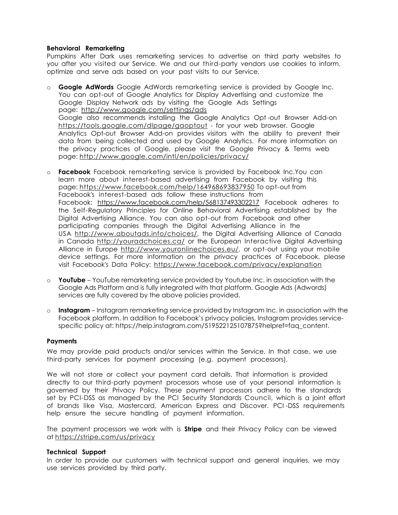#### **Behavioral Remarketing**

Pumpkins After Dark uses remarketing services to advertise on third party websites to you after you visited our Service. We and our third-party vendors use cookies to inform, optimize and serve ads based on your past visits to our Service.

- o **Google AdWords** Google AdWords remarketing service is provided by Google Inc. You can opt-out of Google Analytics for Display Advertising and customize the Google Display Network ads by visiting the Google Ads Settings page: <http://www.google.com/settings/ads> Google also recommends installing the Google Analytics Opt -out Browser Add-on <https://tools.google.com/dlpage/gaoptout>- for your web browser. Google Analytics Opt-out Browser Add-on provides visitors with the ability to prevent their data from being collected and used by Google Analytics. For more information on the privacy practices of Google, please visit the Google Privacy & Terms web page:<http://www.google.com/intl/en/policies/privacy/>
- o **Facebook** Facebook remarketing service is provided by Facebook Inc.You can learn more about interest-based advertising from Facebook by visiting this page:<https://www.facebook.com/help/164968693837950> To opt-out from Facebook's interest-based ads follow these instructions from Facebook: <https://www.facebook.com/help/568137493302217>Facebook adheres to the Self-Regulatory Principles for Online Behavioral Advertising established by the Digital Advertising Alliance. You can also opt-out from Facebook and other participating companies through the Digital Advertising Alliance in the USA [http://www.aboutads.info/choices/,](http://www.aboutads.info/choices/) the Digital Advertising Alliance of Canada in Canada <http://youradchoices.ca/> or the European Interactive Digital Advertising Alliance in Europe [http://www.youronlinechoices.eu/, o](http://www.youronlinechoices.eu/)r opt-out using your mobile device settings. For more information on the privacy practices of Facebook, please visit Facebook's Data Policy: <https://www.facebook.com/privacy/explanation>
- o **YouTube** YouTube remarketing service provided by Youtube Inc. in association with the Google Ads Platform and is fully integrated with that platform. Google Ads (Adwords) services are fully covered by the above policies provided.
- o **Instagram** Instagram remarketing service provided by Instagram Inc. in association with the Facebook platform. In addition to Facebook's privacy policies, Instagram provides servicespecific policy at: https://help.instagram.com/519522125107875?helpref=faq\_content.

#### **Payments**

We may provide paid products and/or services within the Service. In that case, we use third-party services for payment processing (e.g. payment processors).

We will not store or collect your payment card details. That information is provided directly to our third-party payment processors whose use of your personal information is governed by their Privacy Policy. These payment processors adhere to the standards set by PCI-DSS as managed by the PCI Security Standards Council, which is a joint effort of brands like Visa, Mastercard, American Express and Discover. PCI -DSS requirements help ensure the secure handling of payment information.

The payment processors we work with is **Stripe** and their Privacy Policy can be viewed at<https://stripe.com/us/privacy>

#### **Technical Support**

In order to provide our customers with technical support and general inquiries, we may use services provided by third party.